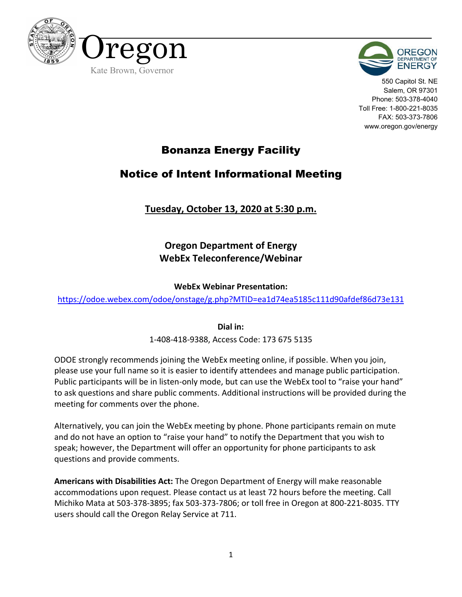



550 Capitol St. NE Salem, OR 97301 Phone: 503-378-4040 Toll Free: 1-800-221-8035 FAX: 503-373-7806 www.oregon.gov/energy

## Bonanza Energy Facility

## Notice of Intent Informational Meeting

### **Tuesday, October 13, 2020 at 5:30 p.m.**

## **Oregon Department of Energy WebEx Teleconference/Webinar**

### **WebEx Webinar Presentation:**

https://odoe.webex.com/odoe/onstage/g.php?MTID=ea1d74ea5185c111d90afdef86d73e131

**Dial in:**

1-408-418-9388, Access Code: 173 675 5135

ODOE strongly recommends joining the WebEx meeting online, if possible. When you join, please use your full name so it is easier to identify attendees and manage public participation. Public participants will be in listen-only mode, but can use the WebEx tool to "raise your hand" to ask questions and share public comments. Additional instructions will be provided during the meeting for comments over the phone.

Alternatively, you can join the WebEx meeting by phone. Phone participants remain on mute and do not have an option to "raise your hand" to notify the Department that you wish to speak; however, the Department will offer an opportunity for phone participants to ask questions and provide comments.

**Americans with Disabilities Act:** The Oregon Department of Energy will make reasonable accommodations upon request. Please contact us at least 72 hours before the meeting. Call Michiko Mata at 503-378-3895; fax 503-373-7806; or toll free in Oregon at 800-221-8035. TTY users should call the Oregon Relay Service at 711.